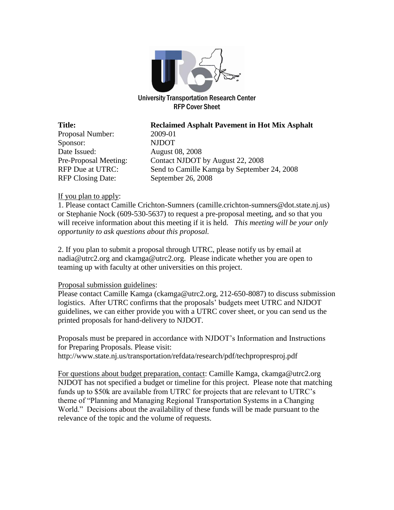

University Transportation Research Center RFP Cover Sheet

Proposal Number: 2009-01 Sponsor: NJDOT Date Issued: August 08, 2008 RFP Closing Date: September 26, 2008

**Title: Reclaimed Asphalt Pavement in Hot Mix Asphalt** Pre-Proposal Meeting: Contact NJDOT by August 22, 2008 RFP Due at UTRC: Send to Camille Kamga by September 24, 2008

#### If you plan to apply:

1. Please contact Camille Crichton-Sumners (camille.crichton-sumners@dot.state.nj.us) or Stephanie Nock (609-530-5637) to request a pre-proposal meeting, and so that you will receive information about this meeting if it is held. *This meeting will be your only opportunity to ask questions about this proposal.*

2. If you plan to submit a proposal through UTRC, please notify us by email at nadia@utrc2.org and ckamga@utrc2.org. Please indicate whether you are open to teaming up with faculty at other universities on this project.

#### Proposal submission guidelines:

Please contact Camille Kamga (ckamga@utrc2.org, 212-650-8087) to discuss submission logistics. After UTRC confirms that the proposals' budgets meet UTRC and NJDOT guidelines, we can either provide you with a UTRC cover sheet, or you can send us the printed proposals for hand-delivery to NJDOT.

Proposals must be prepared in accordance with NJDOT's Information and Instructions for Preparing Proposals. Please visit: http://www.state.nj.us/transportation/refdata/research/pdf/techpropresproj.pdf

For questions about budget preparation, contact: Camille Kamga, ckamga@utrc2.org NJDOT has not specified a budget or timeline for this project. Please note that matching funds up to \$50k are available from UTRC for projects that are relevant to UTRC's theme of "Planning and Managing Regional Transportation Systems in a Changing World." Decisions about the availability of these funds will be made pursuant to the relevance of the topic and the volume of requests.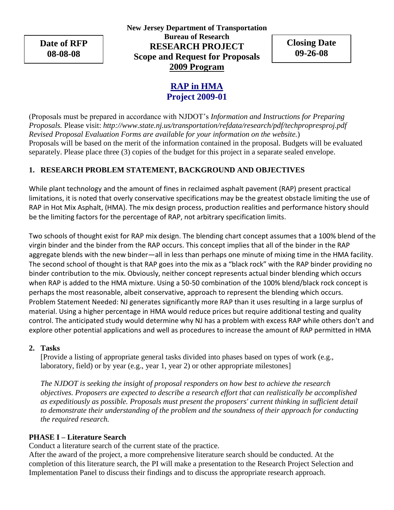**Date of RFP 08-08-08**

**New Jersey Department of Transportation Bureau of Research RESEARCH PROJECT Scope and Request for Proposals 2009 Program**

**Closing Date 09-26-08**

# **RAP in HMA Project 2009-01**

(Proposals must be prepared in accordance with NJDOT's *Information and Instructions for Preparing Proposals.* Please visit: *http://www.state.nj.us/transportation/refdata/research/pdf/techpropresproj.pdf Revised Proposal Evaluation Forms are available for your information on the website.*) Proposals will be based on the merit of the information contained in the proposal. Budgets will be evaluated separately. Please place three (3) copies of the budget for this project in a separate sealed envelope.

# **1. RESEARCH PROBLEM STATEMENT, BACKGROUND AND OBJECTIVES**

While plant technology and the amount of fines in reclaimed asphalt pavement (RAP) present practical limitations, it is noted that overly conservative specifications may be the greatest obstacle limiting the use of RAP in Hot Mix Asphalt, (HMA). The mix design process, production realities and performance history should be the limiting factors for the percentage of RAP, not arbitrary specification limits.

Two schools of thought exist for RAP mix design. The blending chart concept assumes that a 100% blend of the virgin binder and the binder from the RAP occurs. This concept implies that all of the binder in the RAP aggregate blends with the new binder—all in less than perhaps one minute of mixing time in the HMA facility. The second school of thought is that RAP goes into the mix as a "black rock" with the RAP binder providing no binder contribution to the mix. Obviously, neither concept represents actual binder blending which occurs when RAP is added to the HMA mixture. Using a 50-50 combination of the 100% blend/black rock concept is perhaps the most reasonable, albeit conservative, approach to represent the blending which occurs. Problem Statement Needed: NJ generates significantly more RAP than it uses resulting in a large surplus of material. Using a higher percentage in HMA would reduce prices but require additional testing and quality control. The anticipated study would determine why NJ has a problem with excess RAP while others don't and explore other potential applications and well as procedures to increase the amount of RAP permitted in HMA

#### **2. Tasks**

[Provide a listing of appropriate general tasks divided into phases based on types of work (e.g., laboratory, field) or by year (e.g., year 1, year 2) or other appropriate milestones]

*The NJDOT is seeking the insight of proposal responders on how best to achieve the research objectives. Proposers are expected to describe a research effort that can realistically be accomplished as expeditiously as possible. Proposals must present the proposers' current thinking in sufficient detail to demonstrate their understanding of the problem and the soundness of their approach for conducting the required research.*

## **PHASE I – Literature Search**

Conduct a literature search of the current state of the practice.

After the award of the project, a more comprehensive literature search should be conducted. At the completion of this literature search, the PI will make a presentation to the Research Project Selection and Implementation Panel to discuss their findings and to discuss the appropriate research approach.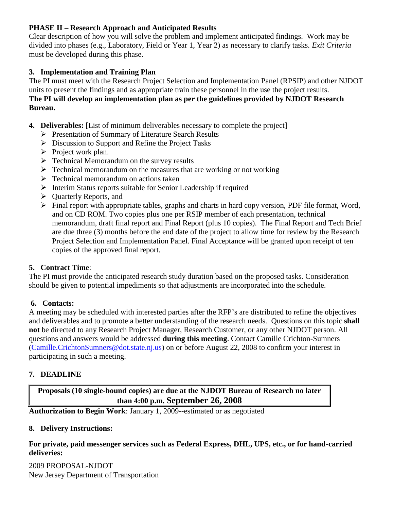# **PHASE II – Research Approach and Anticipated Results**

Clear description of how you will solve the problem and implement anticipated findings. Work may be divided into phases (e.g., Laboratory, Field or Year 1, Year 2) as necessary to clarify tasks. *Exit Criteria* must be developed during this phase.

# **3. Implementation and Training Plan**

The PI must meet with the Research Project Selection and Implementation Panel (RPSIP) and other NJDOT units to present the findings and as appropriate train these personnel in the use the project results. **The PI will develop an implementation plan as per the guidelines provided by NJDOT Research Bureau.**

- **4. Deliverables:** [List of minimum deliverables necessary to complete the project]
	- Presentation of Summary of Literature Search Results
	- $\triangleright$  Discussion to Support and Refine the Project Tasks
	- $\triangleright$  Project work plan.
	- $\triangleright$  Technical Memorandum on the survey results
	- $\triangleright$  Technical memorandum on the measures that are working or not working
	- $\triangleright$  Technical memorandum on actions taken
	- Interim Status reports suitable for Senior Leadership if required
	- $\triangleright$  Quarterly Reports, and
	- $\triangleright$  Final report with appropriate tables, graphs and charts in hard copy version, PDF file format, Word, and on CD ROM. Two copies plus one per RSIP member of each presentation, technical memorandum, draft final report and Final Report (plus 10 copies). The Final Report and Tech Brief are due three (3) months before the end date of the project to allow time for review by the Research Project Selection and Implementation Panel. Final Acceptance will be granted upon receipt of ten copies of the approved final report.

## **5. Contract Time**:

The PI must provide the anticipated research study duration based on the proposed tasks. Consideration should be given to potential impediments so that adjustments are incorporated into the schedule.

## **6. Contacts:**

A meeting may be scheduled with interested parties after the RFP's are distributed to refine the objectives and deliverables and to promote a better understanding of the research needs. Questions on this topic **shall not** be directed to any Research Project Manager, Research Customer, or any other NJDOT person. All questions and answers would be addressed **during this meeting**. Contact Camille Crichton-Sumners (Camille.CrichtonSumners@dot.state.nj.us) on or before August 22, 2008 to confirm your interest in participating in such a meeting.

## **7. DEADLINE**

**Proposals (10 single-bound copies) are due at the NJDOT Bureau of Research no later than 4:00 p.m. September 26, 2008**

**Authorization to Begin Work**: January 1, 2009--estimated or as negotiated

## **8. Delivery Instructions:**

**For private, paid messenger services such as Federal Express, DHL, UPS, etc., or for hand-carried deliveries:**

2009 PROPOSAL-NJDOT New Jersey Department of Transportation